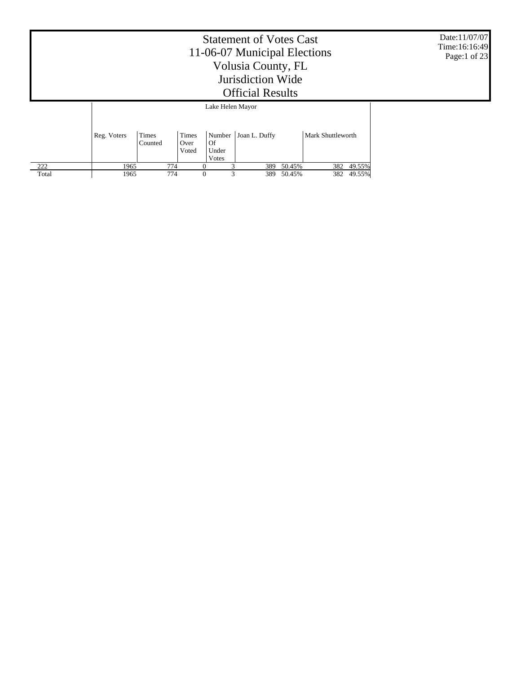|       |             | Date:11/07/07<br>Time:16:16:49<br>Page:1 of 23 |                  |     |        |               |  |
|-------|-------------|------------------------------------------------|------------------|-----|--------|---------------|--|
|       |             |                                                | Lake Helen Mayor |     |        |               |  |
|       | Reg. Voters |                                                |                  |     |        |               |  |
| 222   | 1965        | 774                                            | $\theta$         | 389 | 50.45% | 49.55%<br>382 |  |
| Total | 1965        | 774                                            | $\theta$<br>3    | 389 | 50.45% | 49.55%<br>382 |  |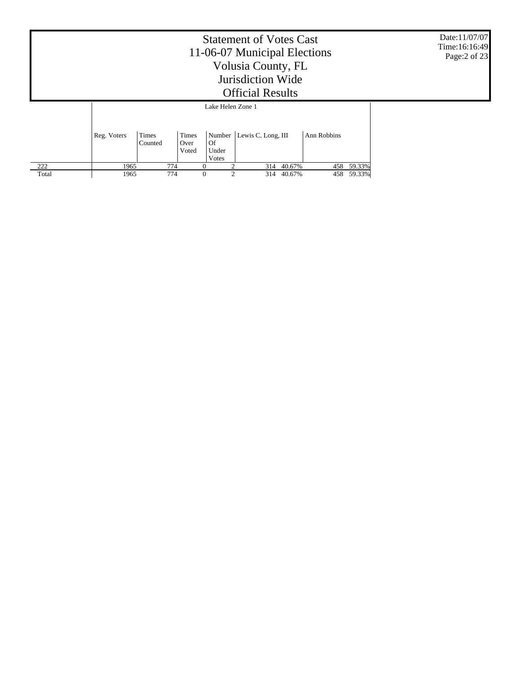|       |             | Date:11/07/07<br>Time:16:16:49<br>Page:2 of 23 |                               |                      |                             |        |             |        |  |
|-------|-------------|------------------------------------------------|-------------------------------|----------------------|-----------------------------|--------|-------------|--------|--|
|       |             |                                                |                               | Lake Helen Zone 1    |                             |        |             |        |  |
|       | Reg. Voters | Times<br>Counted                               | <b>Times</b><br>Over<br>Voted | Of<br>Under<br>Votes | Number   Lewis C. Long, III |        | Ann Robbins |        |  |
| 222   | 1965        | 774                                            | $\theta$                      |                      | 314                         | 40.67% | 458         | 59.33% |  |
| Total | 1965        | 774                                            | $\theta$                      | $\mathfrak{D}$       | 314                         | 40.67% | 458         | 59.33% |  |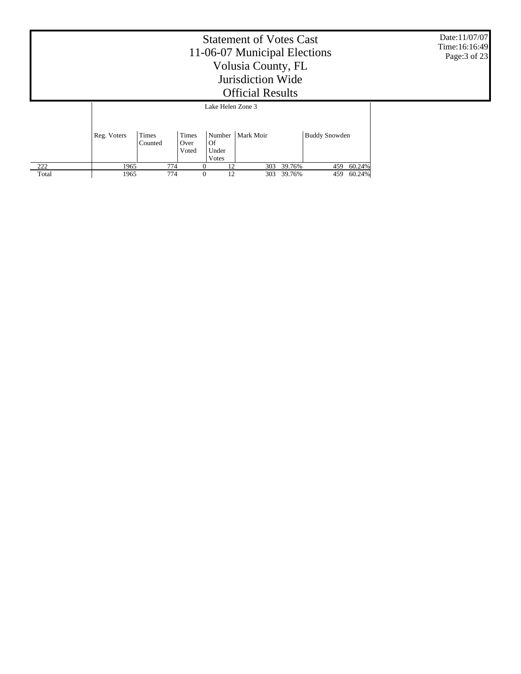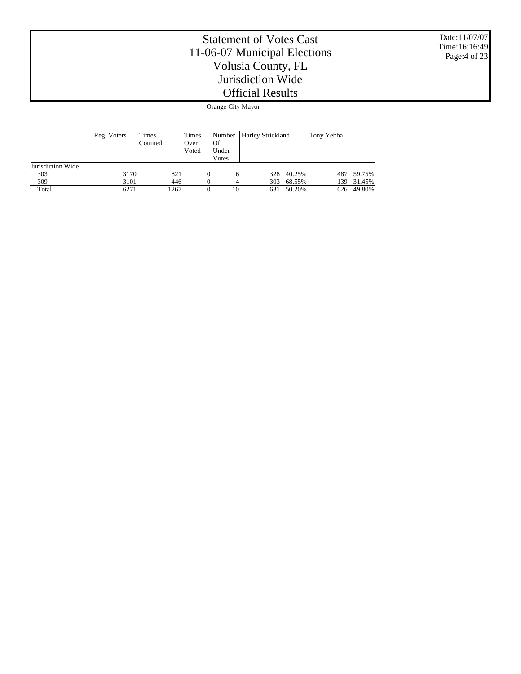Date:11/07/07 Time:16:16:49 Page:4 of 23

|                   |             | Orange City Mayor |                        |                      |                            |        |            |        |  |  |  |  |  |
|-------------------|-------------|-------------------|------------------------|----------------------|----------------------------|--------|------------|--------|--|--|--|--|--|
|                   | Reg. Voters | Times<br>Counted  | Times<br>Over<br>Voted | Of<br>Under<br>Votes | Number   Harley Strickland |        | Tony Yebba |        |  |  |  |  |  |
| Jurisdiction Wide |             |                   |                        |                      |                            |        |            |        |  |  |  |  |  |
| 303               | 3170        | 821               | 0                      | 6                    | 328                        | 40.25% | 487        | 59.75% |  |  |  |  |  |
| 309               | 3101        | 446               | 0                      |                      | 303                        | 68.55% | 139        | 31.45% |  |  |  |  |  |
| Total             | 6271        | 1267              | 0                      | 10                   | 631                        | 50.20% | 626        | 49.80% |  |  |  |  |  |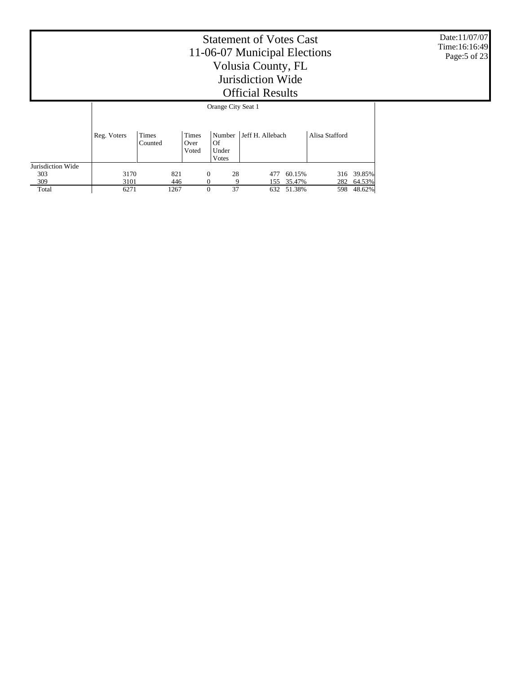Date:11/07/07 Time:16:16:49 Page:5 of 23

|                   |             | Orange City Seat 1 |                               |                                  |                  |            |                |            |  |  |  |  |  |  |
|-------------------|-------------|--------------------|-------------------------------|----------------------------------|------------------|------------|----------------|------------|--|--|--|--|--|--|
|                   | Reg. Voters | Times<br>Counted   | <b>Times</b><br>Over<br>Voted | Number  <br>Of<br>Under<br>Votes | Jeff H. Allebach |            | Alisa Stafford |            |  |  |  |  |  |  |
| Jurisdiction Wide |             |                    |                               |                                  |                  |            |                |            |  |  |  |  |  |  |
| 303               | 3170        | 821                | $\overline{0}$                | 28                               | 477              | 60.15%     |                | 316 39.85% |  |  |  |  |  |  |
| 309               | 3101        | 446                |                               | 9                                |                  | 155 35.47% | 282            | 64.53%     |  |  |  |  |  |  |
| Total             | 6271        | 1267               | $\Omega$                      | 37                               |                  | 632 51.38% | 598            | 48.62%     |  |  |  |  |  |  |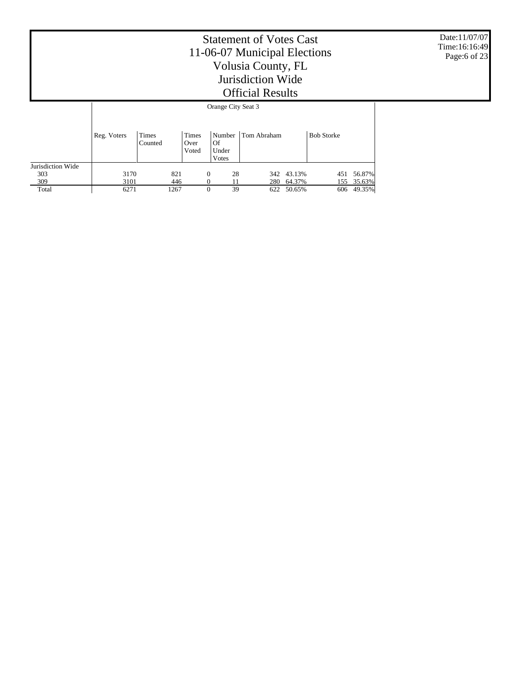Date:11/07/07 Time:16:16:49 Page:6 of 23

T

|                   | Orange City Seat 5 |                  |                               |                                |             |            |                   |            |  |  |  |  |
|-------------------|--------------------|------------------|-------------------------------|--------------------------------|-------------|------------|-------------------|------------|--|--|--|--|
|                   | Reg. Voters        | Times<br>Counted | <b>Times</b><br>Over<br>Voted | Number<br>Of<br>Under<br>Votes | Tom Abraham |            | <b>Bob Storke</b> |            |  |  |  |  |
| Jurisdiction Wide |                    |                  |                               |                                |             |            |                   |            |  |  |  |  |
| 303               | 3170               | 821              | $\Omega$                      | 28                             |             | 342 43.13% | 451               | 56.87%     |  |  |  |  |
| 309               | 3101               | 446              |                               | 11                             | 280         | 64.37%     |                   | 155 35.63% |  |  |  |  |
| Total             | 6271               | 1267             | $\Omega$                      | 39                             | 622         | 50.65%     | 606               | 49.35%     |  |  |  |  |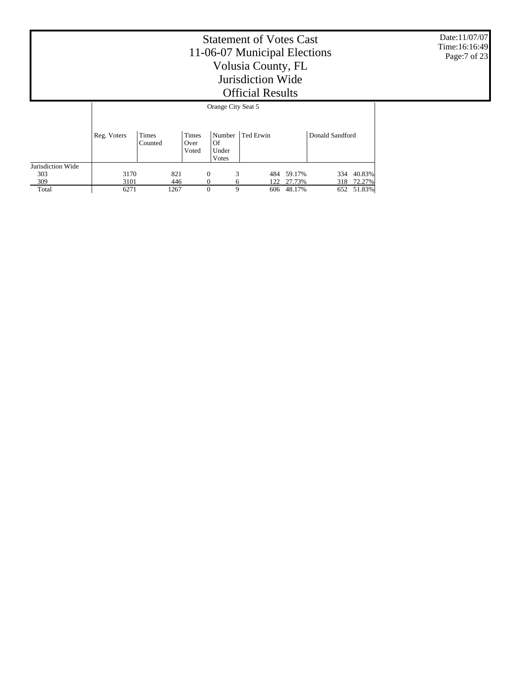Date:11/07/07 Time:16:16:49 Page:7 of 23

|                   |             | Orange City Seat 5 |                        |                                |           |        |                 |        |  |  |  |  |  |  |
|-------------------|-------------|--------------------|------------------------|--------------------------------|-----------|--------|-----------------|--------|--|--|--|--|--|--|
|                   | Reg. Voters | Times<br>Counted   | Times<br>Over<br>Voted | Number<br>Of<br>Under<br>Votes | Ted Erwin |        | Donald Sandford |        |  |  |  |  |  |  |
| Jurisdiction Wide |             |                    |                        |                                |           |        |                 |        |  |  |  |  |  |  |
| 303               | 3170        | 821                | $\Omega$               | 3                              | 484       | 59.17% | 334             | 40.83% |  |  |  |  |  |  |
| 309               | 3101        | 446                |                        | <sub>(</sub>                   | 122       | 27.73% | 318             | 72.27% |  |  |  |  |  |  |
| Total             | 6271        | 1267               | 0                      | 9                              | 606       | 48.17% | 652             | 51.83% |  |  |  |  |  |  |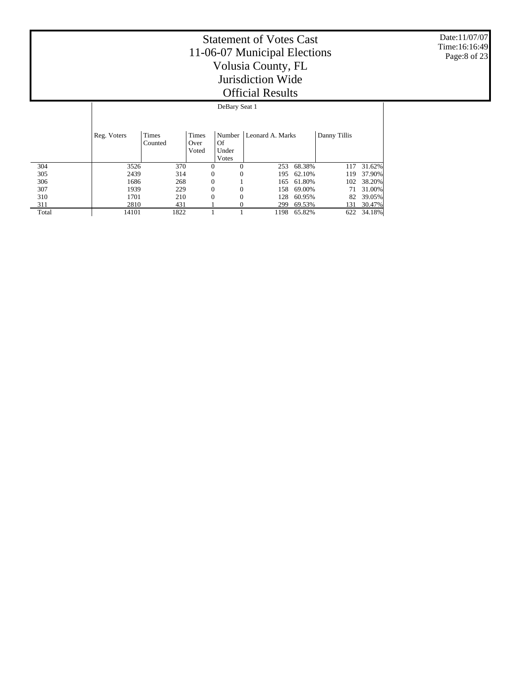Date:11/07/07 Time:16:16:49 Page:8 of 23

|       | DeBary Seat 1 |                  |                        |                                |                  |        |              |        |  |  |  |  |  |
|-------|---------------|------------------|------------------------|--------------------------------|------------------|--------|--------------|--------|--|--|--|--|--|
|       | Reg. Voters   | Times<br>Counted | Times<br>Over<br>Voted | Number<br>Of<br>Under<br>Votes | Leonard A. Marks |        | Danny Tillis |        |  |  |  |  |  |
| 304   | 3526          | 370              | $\overline{0}$         | $\Omega$                       | 253              | 68.38% | 117          | 31.62% |  |  |  |  |  |
| 305   | 2439          | 314              | $\theta$               | $\mathbf{0}$                   | 195              | 62.10% | 119          | 37.90% |  |  |  |  |  |
| 306   | 1686          | 268              | 0                      |                                | 165              | 61.80% | 102          | 38.20% |  |  |  |  |  |
| 307   | 1939          | 229              | 0                      | $\mathbf{0}$                   | 158              | 69.00% | 71           | 31.00% |  |  |  |  |  |
| 310   | 1701          | 210              | $\theta$               | $\Omega$                       | 128              | 60.95% | 82           | 39.05% |  |  |  |  |  |
| 311   | 2810          | 431              |                        |                                | 299              | 69.53% | 131          | 30.47% |  |  |  |  |  |
| Total | 14101         | 1822             |                        |                                | 1198             | 65.82% | 622          | 34.18% |  |  |  |  |  |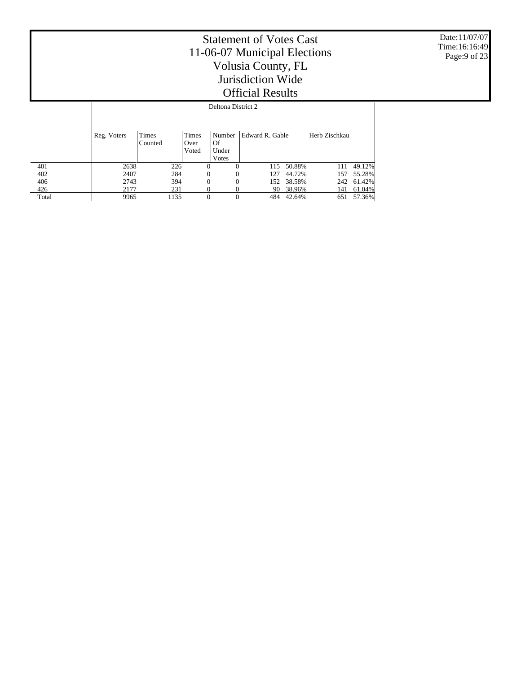Date:11/07/07 Time:16:16:49 Page:9 of 23

### Statement of Votes Cast 11-06-07 Municipal Elections Volusia County, FL Jurisdiction Wide Official Results Deltona District 2

|       | Reg. Voters | Times<br>Counted | Times<br>Over<br>Voted | Number<br>Of<br>Under<br>Votes | Edward R. Gable |        | Herb Zischkau |            |
|-------|-------------|------------------|------------------------|--------------------------------|-----------------|--------|---------------|------------|
| 401   | 2638        | 226              | $\Omega$               |                                | 115             | 50.88% | 111           | 49.12%     |
| 402   | 2407        | 284              | $\Omega$               | 0                              | 127             | 44.72% | 157           | 55.28%     |
| 406   | 2743        | 394              | $\Omega$               | 0                              | 152             | 38.58% |               | 242 61.42% |
| 426   | 2177        | 231              |                        |                                | 90              | 38.96% | 141           | 61.04%     |
| Total | 9965        | 1135             | $\Omega$               | 0                              | 484             | 42.64% | 651           | 57.36%     |

 $\mathbf{I}$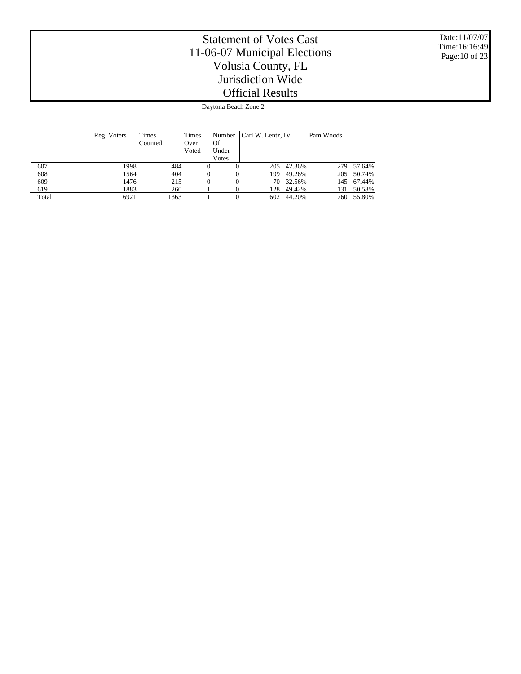Date:11/07/07 Time:16:16:49 Page:10 of 23

### Statement of Votes Cast 11-06-07 Municipal Elections Volusia County, FL Jurisdiction Wide Official Results Daytona Beach Zone 2

|       | Reg. Voters | Times<br>Counted | <b>Times</b><br>Over<br>Voted | Of<br>Under | Number   Carl W. Lentz, IV |        | Pam Woods |            |  |  |  |  |  |  |
|-------|-------------|------------------|-------------------------------|-------------|----------------------------|--------|-----------|------------|--|--|--|--|--|--|
| 607   | 1998        | 484              |                               | Votes<br>0  | 205                        | 42.36% |           | 279 57.64% |  |  |  |  |  |  |
| 608   | 1564        | 404              | 0                             | $\Omega$    | 199                        | 49.26% |           | 205 50.74% |  |  |  |  |  |  |
| 609   | 1476        | 215              | 0                             | $\Omega$    | 70.                        | 32.56% | 145       | 67.44%     |  |  |  |  |  |  |
| 619   | 1883        | 260              |                               |             | 128                        | 49.42% | 131       | 50.58%     |  |  |  |  |  |  |
| Total | 6921        | 1363             |                               | $\Omega$    | 602                        | 44.20% | 760       | 55.80%     |  |  |  |  |  |  |

Τ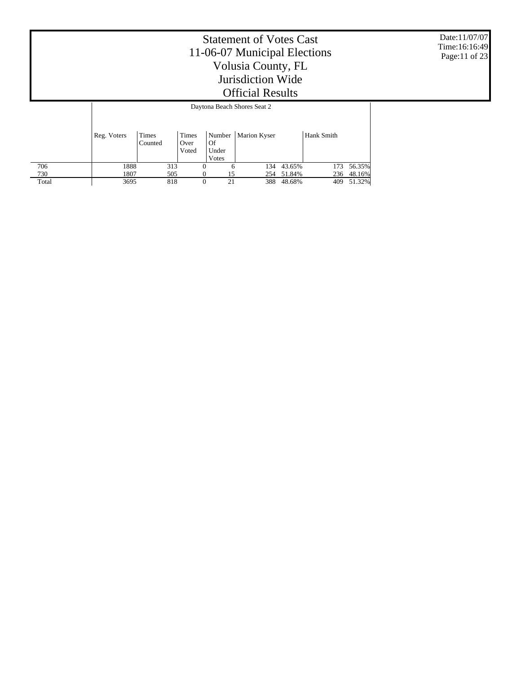Date:11/07/07 Time:16:16:49 Page:11 of 23

|       |             | Daytona Beach Shores Seat 2 |     |                        |          |                                        |                     |        |            |        |  |  |  |  |  |
|-------|-------------|-----------------------------|-----|------------------------|----------|----------------------------------------|---------------------|--------|------------|--------|--|--|--|--|--|
|       | Reg. Voters | Times<br>Counted            |     | Times<br>Over<br>Voted |          | Number<br>Of<br>Under<br><b>V</b> otes | <b>Marion Kyser</b> |        | Hank Smith |        |  |  |  |  |  |
| 706   | 1888        |                             | 313 |                        | $\theta$ | 6                                      | 134                 | 43.65% | 173        | 56.35% |  |  |  |  |  |
| 730   | 1807        |                             | 505 |                        | $\Omega$ | 15                                     | 254                 | 51.84% | 236        | 48.16% |  |  |  |  |  |
| Total | 3695        |                             | 818 |                        | $\theta$ | 21                                     | 388                 | 48.68% | 409        | 51.32% |  |  |  |  |  |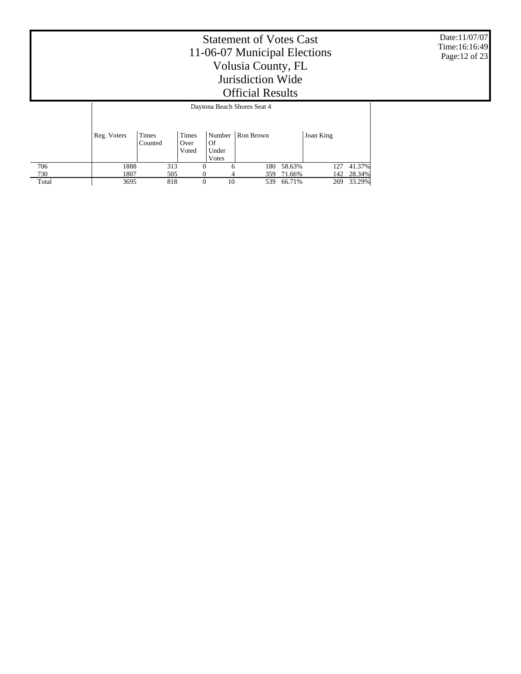Date:11/07/07 Time:16:16:49 Page:12 of 23

|       |             | Daytona Beach Shores Seat 4 |     |                        |          |                      |                    |        |           |        |  |  |  |  |
|-------|-------------|-----------------------------|-----|------------------------|----------|----------------------|--------------------|--------|-----------|--------|--|--|--|--|
|       | Reg. Voters | Times<br>Counted            |     | Times<br>Over<br>Voted |          | Of<br>Under<br>Votes | Number   Ron Brown |        | Joan King |        |  |  |  |  |
| 706   | 1888        |                             | 313 |                        | $\Omega$ | 6                    | 180                | 58.63% | 127       | 41.37% |  |  |  |  |
| 730   | 1807        |                             | 505 |                        | $\Omega$ | 4                    | 359                | 71.66% | 142       | 28.34% |  |  |  |  |
| Total | 3695        |                             | 818 |                        | $\Omega$ | 10                   | 539                | 66.71% | 269       | 33.29% |  |  |  |  |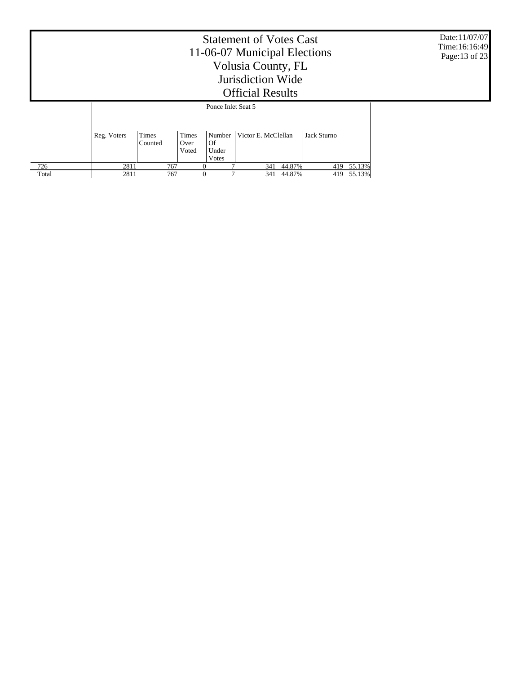|       |             | Date:11/07/07<br>Time:16:16:49<br>Page:13 of 23 |          |                    |     |        |     |            |  |
|-------|-------------|-------------------------------------------------|----------|--------------------|-----|--------|-----|------------|--|
|       |             |                                                 |          | Ponce Inlet Seat 5 |     |        |     |            |  |
|       | Reg. Voters |                                                 |          |                    |     |        |     |            |  |
| 726   | 2811        | 767                                             | $\Omega$ |                    | 341 | 44.87% |     | 419 55.13% |  |
| Total | 2811        | 767                                             | $\theta$ |                    | 341 | 44.87% | 419 | 55.13%     |  |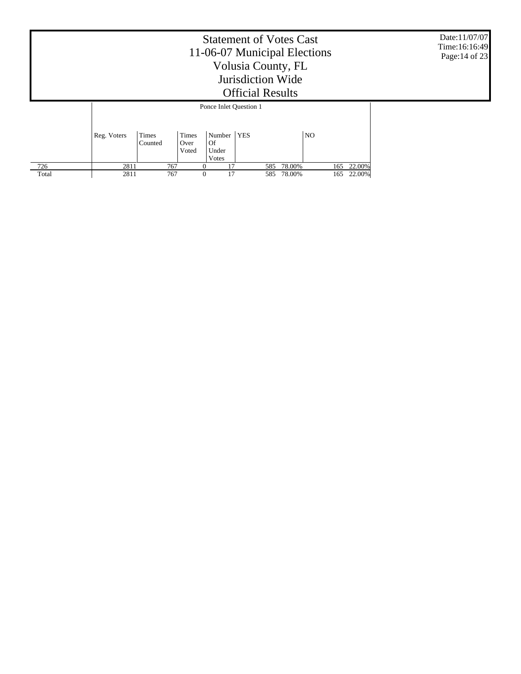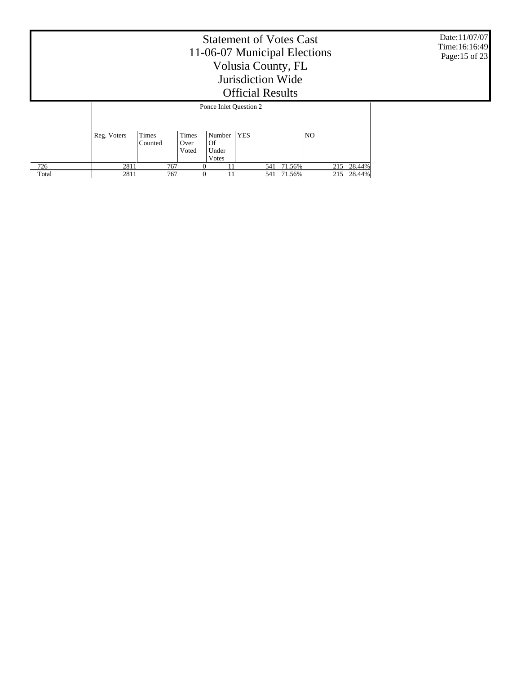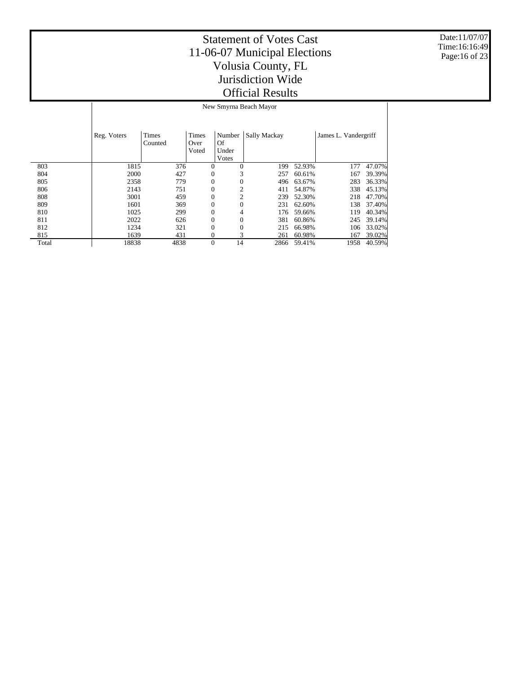Date:11/07/07 Time:16:16:49 Page:16 of 23

|       | New Smyrna Beach Mayor |                         |                        |                                |              |              |        |                      |        |  |
|-------|------------------------|-------------------------|------------------------|--------------------------------|--------------|--------------|--------|----------------------|--------|--|
|       | Reg. Voters            | <b>Times</b><br>Counted | Times<br>Over<br>Voted | Number<br>Of<br>Under<br>Votes |              | Sally Mackay |        | James L. Vandergriff |        |  |
| 803   | 1815                   | 376                     |                        | $\Omega$                       | $\Omega$     | 199          | 52.93% | 177                  | 47.07% |  |
| 804   | 2000                   | 427                     |                        | 0                              | 3            | 257          | 60.61% | 167                  | 39.39% |  |
| 805   | 2358                   | 779                     |                        | 0                              | $\mathbf{0}$ | 496          | 63.67% | 283                  | 36.33% |  |
| 806   | 2143                   | 751                     |                        | 0                              | 2            | 411          | 54.87% | 338                  | 45.13% |  |
| 808   | 3001                   | 459                     |                        | 0                              | 2            | 239          | 52.30% | 218                  | 47.70% |  |
| 809   | 1601                   | 369                     |                        | 0                              | $\Omega$     | 231          | 62.60% | 138                  | 37.40% |  |
| 810   | 1025                   | 299                     |                        | 0                              | 4            | 176          | 59.66% | 119                  | 40.34% |  |
| 811   | 2022                   | 626                     |                        | 0                              | $\mathbf{0}$ | 381          | 60.86% | 245                  | 39.14% |  |
| 812   | 1234                   | 321                     |                        | $\Omega$                       | $\Omega$     | 215          | 66.98% | 106                  | 33.02% |  |
| 815   | 1639                   | 431                     |                        | 0                              | 3            | 261          | 60.98% | 167                  | 39.02% |  |
| Total | 18838                  | 4838                    |                        | $\Omega$                       | 14           | 2866         | 59.41% | 1958                 | 40.59% |  |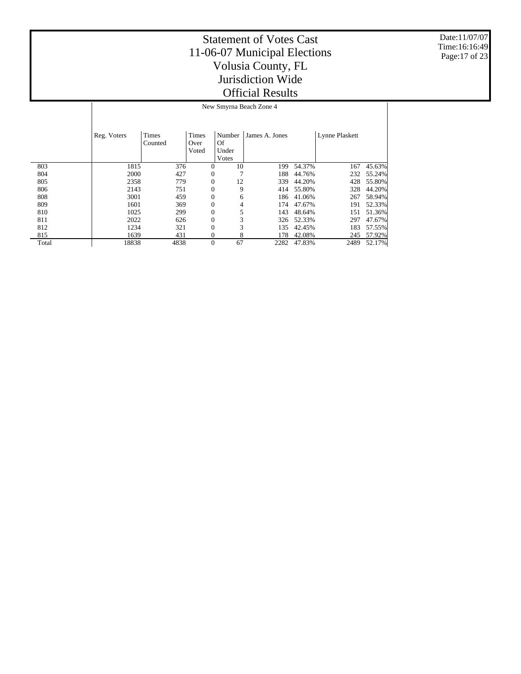Date:11/07/07 Time:16:16:49 Page:17 of 23

Τ

|       | $150W$ DHIVING DUALIL LONG $\pm$ |                  |                        |                                |                |        |                |        |  |  |
|-------|----------------------------------|------------------|------------------------|--------------------------------|----------------|--------|----------------|--------|--|--|
|       | Reg. Voters                      | Times<br>Counted | Times<br>Over<br>Voted | Number<br>Of<br>Under<br>Votes | James A. Jones |        | Lynne Plaskett |        |  |  |
| 803   | 1815                             | 376              | $\overline{0}$         | 10                             | 199            | 54.37% | 167            | 45.63% |  |  |
| 804   | 2000                             | 427              | $\mathbf{0}$           |                                | 188            | 44.76% | 232            | 55.24% |  |  |
| 805   | 2358                             | 779              | $\mathbf{0}$           | 12                             | 339            | 44.20% | 428            | 55.80% |  |  |
| 806   | 2143                             | 751              | 0                      | 9                              | 414            | 55.80% | 328            | 44.20% |  |  |
| 808   | 3001                             | 459              | $\mathbf{0}$           | 6                              | 186            | 41.06% | 267            | 58.94% |  |  |
| 809   | 1601                             | 369              | $\overline{0}$         | 4                              | 174            | 47.67% | 191            | 52.33% |  |  |
| 810   | 1025                             | 299              | $\mathbf{0}$           | 5                              | 143            | 48.64% | 151            | 51.36% |  |  |
| 811   | 2022                             | 626              | $\overline{0}$         | 3                              | 326            | 52.33% | 297            | 47.67% |  |  |
| 812   | 1234                             | 321              | $\mathbf{0}$           | 3                              | 135            | 42.45% | 183            | 57.55% |  |  |
| 815   | 1639                             | 431              | 0                      | 8                              | 178            | 42.08% | 245            | 57.92% |  |  |
| Total | 18838                            | 4838             | $\mathbf{0}$           | 67                             | 2282           | 47.83% | 2489           | 52.17% |  |  |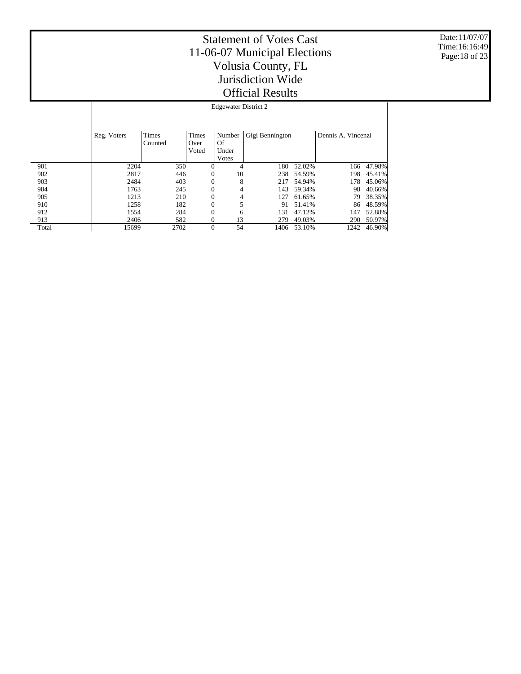Date:11/07/07 Time:16:16:49 Page:18 of 23

|       |             | <b>Edgewater District 2</b> |                        |                       |                 |        |                    |        |  |  |  |
|-------|-------------|-----------------------------|------------------------|-----------------------|-----------------|--------|--------------------|--------|--|--|--|
|       | Reg. Voters | Times<br>Counted            | Times<br>Over<br>Voted | Number<br>Of<br>Under | Gigi Bennington |        | Dennis A. Vincenzi |        |  |  |  |
| 901   | 2204        | 350                         | $\Omega$               | Votes<br>4            | 180             | 52.02% | 166                | 47.98% |  |  |  |
| 902   | 2817        | 446                         | $\mathbf{0}$           | 10                    | 238             | 54.59% | 198                | 45.41% |  |  |  |
| 903   | 2484        | 403                         | $\mathbf{0}$           | 8                     | 217             | 54.94% | 178                | 45.06% |  |  |  |
| 904   | 1763        | 245                         | $\mathbf{0}$           | 4                     | 143             | 59.34% | 98                 | 40.66% |  |  |  |
| 905   | 1213        | 210                         | $\mathbf{0}$           | 4                     | 127             | 61.65% | 79                 | 38.35% |  |  |  |
| 910   | 1258        | 182                         | $\mathbf{0}$           | 5                     | 91              | 51.41% | 86                 | 48.59% |  |  |  |
| 912   | 1554        | 284                         | $\mathbf{0}$           | 6                     | 131             | 47.12% | 147                | 52.88% |  |  |  |
| 913   | 2406        | 582                         | 0                      | 13                    | 279             | 49.03% | 290                | 50.97% |  |  |  |
| Total | 15699       | 2702                        | $\mathbf{0}$           | 54                    | 1406            | 53.10% | 1242               | 46.90% |  |  |  |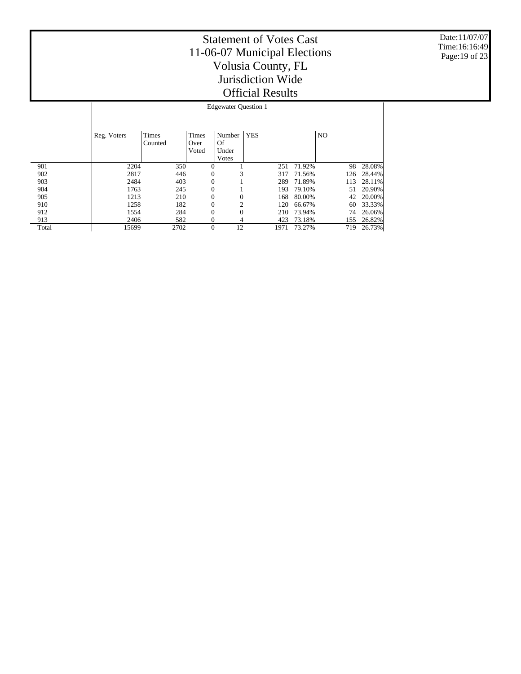Date:11/07/07 Time:16:16:49 Page:19 of 23

|       | <b>Edgewater Question 1</b> |              |                |                |            |        |                |        |  |  |
|-------|-----------------------------|--------------|----------------|----------------|------------|--------|----------------|--------|--|--|
|       |                             |              |                |                |            |        |                |        |  |  |
|       |                             |              |                |                |            |        |                |        |  |  |
|       | Reg. Voters                 | <b>Times</b> | Times          | Number         | <b>YES</b> |        | N <sub>O</sub> |        |  |  |
|       |                             | Counted      | Over           | <b>Of</b>      |            |        |                |        |  |  |
|       |                             |              | Voted          | Under          |            |        |                |        |  |  |
|       |                             |              |                | Votes          |            |        |                |        |  |  |
| 901   | 2204                        | 350          | $\theta$       |                | 251        | 71.92% | 98             | 28.08% |  |  |
| 902   | 2817                        | 446          | $\theta$       | 3              | 317        | 71.56% | 126            | 28.44% |  |  |
| 903   | 2484                        | 403          | $\overline{0}$ |                | 289        | 71.89% | 113            | 28.11% |  |  |
| 904   | 1763                        | 245          | $\overline{0}$ |                | 193        | 79.10% | 51             | 20.90% |  |  |
| 905   | 1213                        | 210          | $\overline{0}$ | $\overline{0}$ | 168        | 80.00% | 42             | 20.00% |  |  |
| 910   | 1258                        | 182          | $\theta$       | $\overline{c}$ | 120        | 66.67% | 60             | 33.33% |  |  |
| 912   | 1554                        | 284          | $\overline{0}$ | $\overline{0}$ | 210        | 73.94% | 74             | 26.06% |  |  |
| 913   | 2406                        | 582          | $\theta$       | 4              | 423        | 73.18% | 155            | 26.82% |  |  |
| Total | 15699                       | 2702         | $\overline{0}$ | 12             | 1971       | 73.27% | 719            | 26.73% |  |  |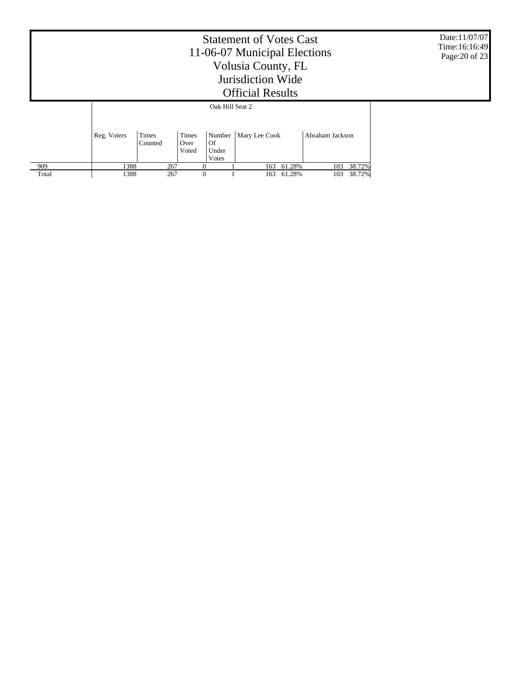|       |             | Date:11/07/07<br>Time:16:16:49<br>Page: 20 of 23 |                               |                      |                        |        |                 |  |
|-------|-------------|--------------------------------------------------|-------------------------------|----------------------|------------------------|--------|-----------------|--|
|       |             |                                                  |                               | Oak Hill Seat 2      |                        |        |                 |  |
|       | Reg. Voters | Times<br>Counted                                 | <b>Times</b><br>Over<br>Voted | Of<br>Under<br>Votes | Number   Mary Lee Cook |        | Abraham Jackson |  |
| 909   | 1388        | 267                                              | $\theta$                      |                      | 163                    | 61.28% | 38.72%<br>103   |  |
| Total | 1388        | 267                                              | $\theta$                      |                      | 163                    | 61.28% | 38.72%<br>103   |  |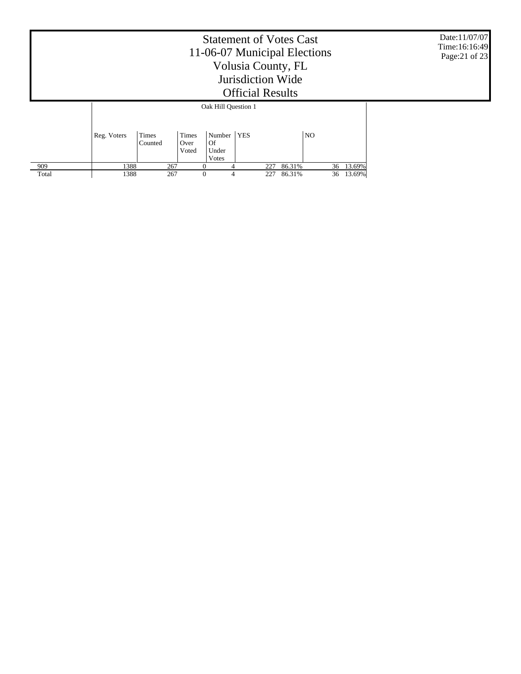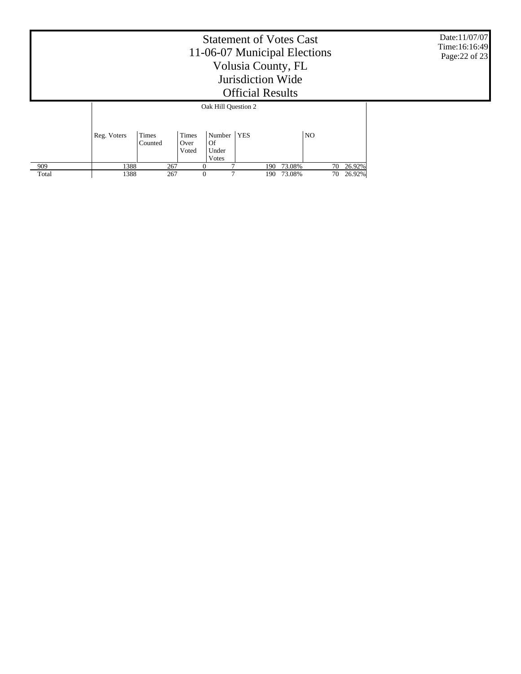